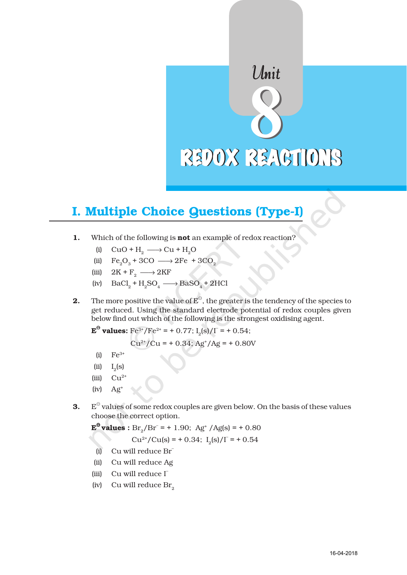# Unit REDOX REACTIONS

# I. Multiple Choice Questions (Type-I)

- 1. Which of the following is **not** an example of redox reaction?
	- (i)  $CuO + H_2 \longrightarrow Cu + H_2O$
	- (ii)  $Fe_2O_3 + 3CO \longrightarrow 2Fe + 3CO_2$
	- (iii)  $2K + F_2 \longrightarrow 2KF$
	- (iv)  $\text{BaCl}_2 + \text{H}_2\text{SO}_4 \longrightarrow \text{BaSO}_4 + 2\text{HCl}$
- **2.** The more positive the value of  $E^{\Theta}$ , the greater is the tendency of the species to get reduced. Using the standard electrode potential of redox couples given below find out which of the following is the strongest oxidising agent.

 ${\bf E}^{\Theta}$  values:  ${\rm Fe^{3*}/Fe^{2*}} = +0.77;$   ${\rm I_2(s)/\Gamma} = +0.54;$ 

$$
Cu^{2+}/Cu = +0.34
$$
; Ag<sup>+/</sup>Ag = + 0.80V

- (i)  $Fe^{3+}$
- $(ii)$  $_{2}$ (s)
- (iii)  $Cu^{2+}$
- $(iv)$   $Ag<sup>+</sup>$
- **3.**  $E^{\ominus}$  values of some redox couples are given below. On the basis of these values choose the correct option.

 ${\bf E}^{\Theta}$  values :  ${\rm Br}_2/{\rm Br}^-$  = + 1.90; Ag<sup>+</sup> /Ag(s) = + 0.80

$$
Cu^{2+}/Cu(s) = +0.34; I_2(s)/I = +0.54
$$

- (i) Cu will reduce Br–
- (ii) Cu will reduce Ag
- (iii) Cu will reduce  $\Gamma$
- (iv) Cu will reduce  $\rm Br_{2}$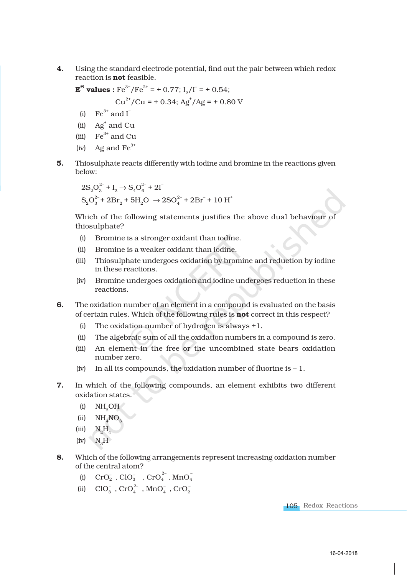4. Using the standard electrode potential, find out the pair between which redox reaction is not feasible.

 ${\bf E}^{\Theta}$  values : Fe<sup>3+</sup>/Fe<sup>2+</sup> = + 0.77; I<sub>2</sub>/I<sup>-</sup> = + 0.54;

$$
Cu^{2+}/Cu = +0.34; Ag^{+}/Ag = +0.80 V
$$

- (i)  $\text{Fe}^{3+}$  and  $\text{I}^-$
- (ii)  $\text{Ag}^{\text{+}}$  and Cu
- (iii)  $Fe^{3+}$  and Cu
- (iv) Ag and  $Fe^{3+}$
- 5. Thiosulphate reacts differently with iodine and bromine in the reactions given below:

$$
\begin{aligned} &2 \text{S}_2 \text{O}_3^{2-} \text{+ I}_2 \rightarrow \text{S}_4 \text{O}_6^{2-} \text{+ 2\Gamma} \\ &\text{S}_2 \text{O}_3^{2-} \text{+ 2\text{Br}_2} \text{+ 5\text{H}_2\text{O} } \rightarrow 2 \text{SO}_4^{2-} \text{+ 2\text{Br}^-} \text{+ 10\text{ H}^+} \end{aligned}
$$

Which of the following statements justifies the above dual behaviour of thiosulphate?

- (i) Bromine is a stronger oxidant than iodine.
- (ii) Bromine is a weaker oxidant than iodine.
- (iii) Thiosulphate undergoes oxidation by bromine and reduction by iodine in these reactions.
- (iv) Bromine undergoes oxidation and iodine undergoes reduction in these reactions.
- 6. The oxidation number of an element in a compound is evaluated on the basis of certain rules. Which of the following rules is not correct in this respect?
	- (i) The oxidation number of hydrogen is always +1.
	- (ii) The algebraic sum of all the oxidation numbers in a compound is zero.
	- (iii) An element in the free or the uncombined state bears oxidation number zero.
	- (iv) In all its compounds, the oxidation number of fluorine is  $-1$ .
- 7. In which of the following compounds, an element exhibits two different oxidation states.
	- $(ii)$  NH<sub>2</sub>OH
	- (ii)  $NH<sub>4</sub>NO<sub>3</sub>$
	- $(iii)$   $N_{2}H_{4}$
	- $(iv)$  N<sub>3</sub>H<sub> $\,$ </sub>
- 8. Which of the following arrangements represent increasing oxidation number of the central atom?
	- (i)  $\text{CrO}_2^-$ ,  $\text{ClO}_3^-$  ,  $\text{CrO}_4^{2-}$ ,  $\text{MnO}_4^-$
	- (ii)  $ClO_3^-$ ,  $CrO_4^{2-}$ ,  $MnO_4^-$ ,  $CrO_2^-$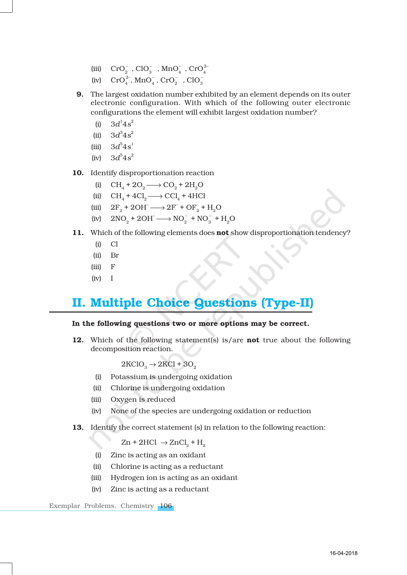- (iii)  $\text{CrO}_2^-$ ,  $\text{ClO}_3^-$ ,  $\text{MnO}_4^-$ ,  $\text{CrO}_4^{2-}$
- (iv)  $\text{CrO}_4^{2-}$ ,  $\text{MnO}_4^{-}$ ,  $\text{CrO}_2^{-}$ ,  $\text{ClO}_3^{-}$
- 9. The largest oxidation number exhibited by an element depends on its outer electronic configuration. With which of the following outer electronic configurations the element will exhibit largest oxidation number?
	- (i)  $3d^1 4s^2$
	- (ii)  $3d^3 4s^2$
	- (iii)  $3d^5 4s^1$
	- $(iv)$  $^{5}4s^{2}$
- 10. Identify disproportionation reaction
	- (i)  $\text{CH}_4 + 2\text{O}_2 \longrightarrow \text{CO}_2 + 2\text{H}_2\text{O}$
	- (ii)  $\text{CH}_4 + 4\text{Cl}_2 \longrightarrow \text{CCl}_4 + 4\text{HCl}$
	- (iii)  $2F_2 + 2OH \longrightarrow 2F + OF_2 + H_2O$
	- (iv)  $2NO_2 + 2OH^- \longrightarrow NO_2^- + NO_3^- + H_2O$
- 11. Which of the following elements does not show disproportionation tendency?
	- (i) Cl
	- (ii) Br
	- (iii) F
	- (iv) I

## II. Multiple Choice Questions (Type-II)

### In the following questions two or more options may be correct.

12. Which of the following statement(s) is/are **not** true about the following decomposition reaction.

 $2KClO<sub>3</sub> \rightarrow 2KCl + 3O<sub>2</sub>$ 

- (i) Potassium is undergoing oxidation
- (ii) Chlorine is undergoing oxidation
- (iii) Oxygen is reduced
- (iv) None of the species are undergoing oxidation or reduction
- 13. Identify the correct statement (s) in relation to the following reaction:

 $\text{Zn} + 2\text{HCl} \rightarrow \text{ZnCl}_2 + H_2$ 

- (i) Zinc is acting as an oxidant
- (ii) Chlorine is acting as a reductant
- (iii) Hydrogen ion is acting as an oxidant
- (iv) Zinc is acting as a reductant

Exemplar Problems, Chemistry 106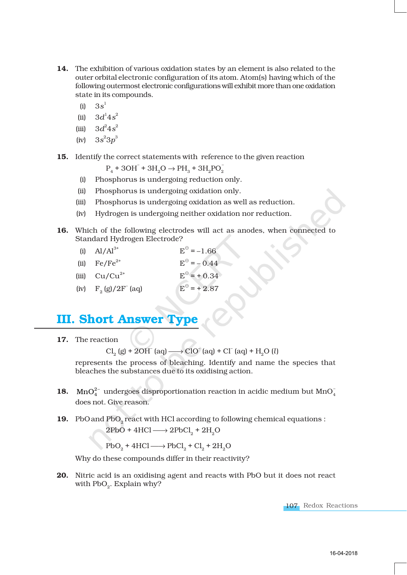- 14. The exhibition of various oxidation states by an element is also related to the outer orbital electronic configuration of its atom. Atom(s) having which of the following outermost electronic configurations will exhibit more than one oxidation state in its compounds.
	- $(i) 3s<sup>1</sup>$
	- (ii)  $3d^1 4s^2$
	- (iii)  $3d^2 4s^2$
	- (iv)  $3s^23p^3$

15. Identify the correct statements with reference to the given reaction

 $P_4 + 3OH^- + 3H_2O \rightarrow PH_3 + 3H_2PO_2$ 

- (i) Phosphorus is undergoing reduction only.
- (ii) Phosphorus is undergoing oxidation only.
- (iii) Phosphorus is undergoing oxidation as well as reduction.
- (iv) Hydrogen is undergoing neither oxidation nor reduction.
- 16. Which of the following electrodes will act as anodes, when connected to Standard Hydrogen Electrode?

| (i) $Al/Al^{3+}$                | $E^{\odot} = -1.66$  |
|---------------------------------|----------------------|
| (ii) $\text{Fe}/\text{Fe}^{2+}$ | $E^{\odot} = -0.44$  |
| (iii) $Cu/Cu^{2+}$              | $E^{\odot}$ = + 0.34 |
| (iv) $F_2(g)/2F^-(aq)$          | $E^{\circ}$ = + 2.87 |

# **III. Short Answer**

17. The reaction

 $Cl_2(g) + 2OH^-(aq) \longrightarrow ClO^-(aq) + Cl^-(aq) + H_2O(l)$ 

represents the process of bleaching. Identify and name the species that bleaches the substances due to its oxidising action.

- **18.**  $\text{MnO}_4^{2-}$  undergoes disproportionation reaction in acidic medium but  $\text{MnO}_4^2$ does not. Give reason.
- 19. PbO and  $PbO_2$  react with HCl according to following chemical equations :

 $2PbO + 4HCl \longrightarrow 2PbCl<sub>2</sub> + 2H<sub>2</sub>O$ 

 $PbO_2 + 4HCl \longrightarrow PbCl_2 + Cl_2 + 2H_2O$ 

Why do these compounds differ in their reactivity?

20. Nitric acid is an oxidising agent and reacts with PbO but it does not react with  $PbO_2$ . Explain why?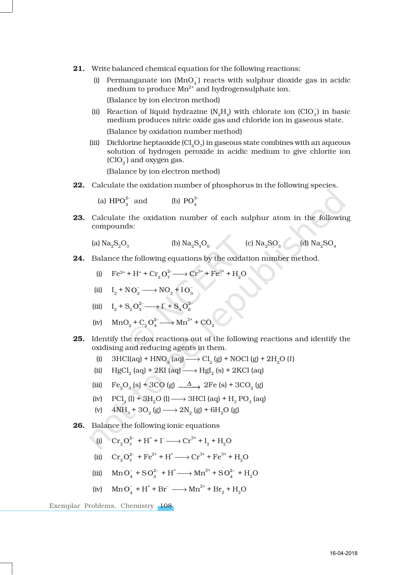- 21. Write balanced chemical equation for the following reactions:
	- (i) Permanganate ion  $(MnO<sub>4</sub>)$  reacts with sulphur dioxide gas in acidic medium to produce  $Mn^{2+}$  and hydrogensulphate ion. (Balance by ion electron method)
	- (ii) Reaction of liquid hydrazine  $(N_2H_4)$  with chlorate ion  $(CIO_3^-)$  in basic medium produces nitric oxide gas and chloride ion in gaseous state.

(Balance by oxidation number method)

(iii) Dichlorine heptaoxide (Cl<sub>2</sub>O<sub>7</sub>) in gaseous state combines with an aqueous solution of hydrogen peroxide in acidic medium to give chlorite ion  $(CIO<sub>2</sub>)$  and oxygen gas.

(Balance by ion electron method)

22. Calculate the oxidation number of phosphorus in the following species.

(a)  $\text{HPO}_3^{2-}$  and (b)  $\text{PO}_4^{3-}$ 

23. Calculate the oxidation number of each sulphur atom in the following compounds:

(a) Na2S2O<sup>3</sup> (b) Na2S4O<sup>6</sup> (c) Na2SO<sup>3</sup> (d) Na2SO<sup>4</sup>

24. Balance the following equations by the oxidation number method.

(i) 
$$
\text{Fe}^{2+} + \text{H}^+ + \text{Cr}_2\text{O}_7^{2-} \longrightarrow \text{Cr}^{3+} + \text{Fe}^{3+} + \text{H}_2\text{O}
$$

(ii) 
$$
I_2 + NO_3^- \longrightarrow NO_2 + IO_3^-
$$

(iii)  $I_2 + S_2 O_3^{2-} \longrightarrow \Gamma$  $+ S_4$  $O_6^{2-}$ 

(iv) 
$$
MnO_2 + C_2O_4^2 \longrightarrow Mn^{2+} + CO_2
$$

- 25. Identify the redox reactions out of the following reactions and identify the oxidising and reducing agents in them.
	- (i)  $3HCl(aq) + HNO<sub>3</sub>(aq) \longrightarrow Cl<sub>2</sub>(g) + NOCl(g) + 2H<sub>2</sub>O(l)$
	- (ii)  $HgCl_2$  (aq) + 2KI (aq)  $\longrightarrow$  HgI<sub>2</sub> (s) + 2KCl (aq)
	- (iii)  $\text{Fe}_2\text{O}_3 \text{ (s)} + 3\text{CO} \text{ (g)} \longrightarrow 2\text{Fe} \text{ (s)} + 3\text{CO}_2 \text{ (g)}$
	- (iv)  $\text{PCl}_3(\mathbf{l}) + 3\text{H}_2\text{O}(\mathbf{l}) \longrightarrow 3\text{HCl}(\text{aq}) + \text{H}_3 \text{PO}_3(\text{aq})$
	- (v)  $4NH_3 + 3O_2(g) \longrightarrow 2N_2(g) + 6H_2O(g)$
- 26. Balance the following ionic equations
	- (i)  $Cr_2O_7^{2-} + H^+ + I^- \longrightarrow Cr^{3+} + I_2 + H_2O$
	- (ii)  $Cr_2O_7^{2-} + Fe^{2+} + H^+ \longrightarrow Cr^{3+} + Fe^{3+} + H_2O$
	- (iii)  $\text{MnO}_4^- + \text{SO}_3^{2-} + \text{H}^+ \longrightarrow \text{Mn}^{2+} + \text{SO}_4^{2-} + \text{H}_2\text{O}$
	- (iv)  $\text{MnO}_4^- + \text{H}^+ + \text{Br}^- \longrightarrow \text{Mn}^{2+} + \text{Br}_2 + \text{H}_2\text{O}$

Exemplar Problems, Chemistry 108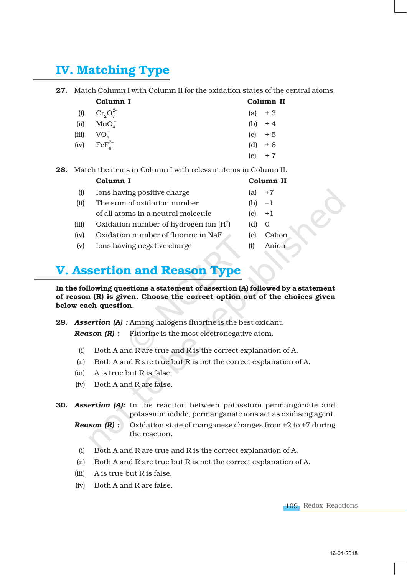# IV. Matching Type

## 27. Match Column I with Column II for the oxidation states of the central atoms.

|       | Column I                 | Column II |
|-------|--------------------------|-----------|
| (i)   | $Cr_{2}O_{7}^{2-}$       | (a) $+3$  |
| (ii)  | MnO <sub>A</sub>         | (b) $+4$  |
| (iii) | $VO_{3}^-$               | $(c) + 5$ |
|       | (iv) $\text{FeF}_6^{3-}$ | (d) $+6$  |
|       |                          | $(e) + 7$ |

28. Match the items in Column I with relevant items in Column II.

|       | Column I                                |     | Column II |
|-------|-----------------------------------------|-----|-----------|
| (i)   | Ions having positive charge             | (a) | $+7$      |
| (ii)  | The sum of oxidation number             | (b) | $-1$      |
|       | of all atoms in a neutral molecule      | c   | $+1$      |
| (iii) | Oxidation number of hydrogen ion $(H+)$ | (d) | $\Omega$  |
| (iv)  | Oxidation number of fluorine in NaF     | le) | Cation    |
| (v)   | Ions having negative charge             | (t) | Anion     |

## V. Assertion and Reason Type

In the following questions a statement of assertion (A) followed by a statement of reason (R) is given. Choose the correct option out of the choices given below each question.

29. *Assertion (A) :* Among halogens fluorine is the best oxidant.

*Reason (R) :* Fluorine is the most electronegative atom.

- (i) Both A and R are true and R is the correct explanation of A.
- (ii) Both A and R are true but R is not the correct explanation of A.
- (iii) A is true but R is false.
- (iv) Both A and R are false.
- 30. *Assertion (A):* In the reaction between potassium permanganate and potassium iodide, permanganate ions act as oxidising agent.
	- *Reason (R) :* Oxidation state of manganese changes from +2 to +7 during the reaction.
	- (i) Both A and R are true and R is the correct explanation of A.
	- (ii) Both A and R are true but R is not the correct explanation of A.
	- (iii) A is true but R is false.
	- (iv) Both A and R are false.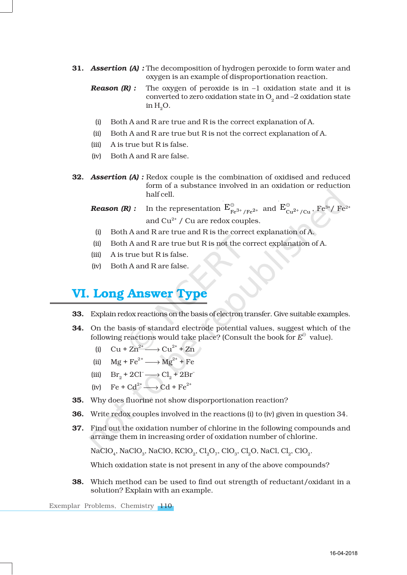- 31. *Assertion (A) :* The decomposition of hydrogen peroxide to form water and oxygen is an example of disproportionation reaction.
	- *Reason (R) :* The oxygen of peroxide is in  $-1$  oxidation state and it is converted to zero oxidation state in  $\mathrm{O}_2^{}$  and –2 oxidation state in  $H<sub>0</sub>O$ .
	- (i) Both A and R are true and R is the correct explanation of A.
	- (ii) Both A and R are true but R is not the correct explanation of A.
	- (iii) A is true but R is false.
	- (iv) Both A and R are false.
- **32. Assertion (A):** Redox couple is the combination of oxidised and reduced form of a substance involved in an oxidation or reduction half cell.
	- **Reason (R)**: In the representation  $E_{Fe^{3+}/Fe^{2+}}^{\ominus}$  and  $E_{Cu^{2+}/Cu}^{\ominus}$ ,  $Fe^{3+}/Fe^{2+}$ and  $Cu^{2+}$  / Cu are redox couples.
		- (i) Both A and R are true and R is the correct explanation of A.
	- (ii) Both A and R are true but R is not the correct explanation of A.
	- (iii) A is true but R is false.
	- (iv) Both A and R are false.

## VI. Long Answer Type

- 33. Explain redox reactions on the basis of electron transfer. Give suitable examples.
- 34. On the basis of standard electrode potential values, suggest which of the following reactions would take place? (Consult the book for  $E^{\ominus}$  value).
	- (i)  $Cu + Zn^{2+} \longrightarrow Cu^{2+} + Zn$
	- (ii)  $Mg + Fe^{2+} \longrightarrow Mg^{2+} + Fe$
	- (iii)  $\text{Br}_2 + 2\text{Cl}^- \longrightarrow \text{Cl}_2 + 2\text{Br}^-$
	- (iv)  $\text{Fe} + \text{Cd}^{2+} \longrightarrow \text{Cd} + \text{Fe}^{2+}$
- 35. Why does fluorine not show disporportionation reaction?
- 36. Write redox couples involved in the reactions (i) to (iv) given in question 34.
- 37. Find out the oxidation number of chlorine in the following compounds and arrange them in increasing order of oxidation number of chlorine.

NaClO $_{4}$ , NaClO $_{3}$ , NaClO, KClO $_{2}$ , Cl $_{2}$ O $_{7}$ , ClO $_{3}$ , Cl $_{2}$ O, NaCl, Cl $_{2}$ , ClO $_{2}$ .

Which oxidation state is not present in any of the above compounds?

38. Which method can be used to find out strength of reductant/oxidant in a solution? Explain with an example.

Exemplar Problems, Chemistry 110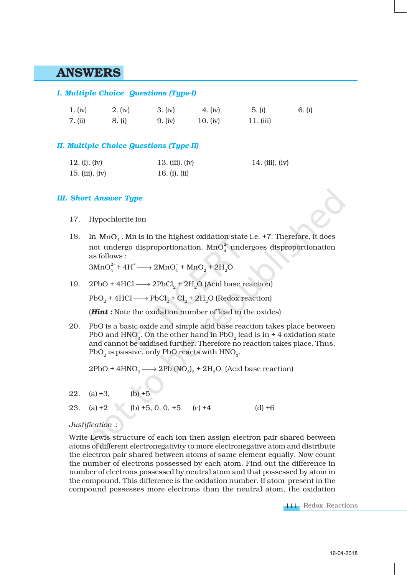## ANSWERS

## *I. Multiple Choice Questions (Type-I)*

| 1. (iv) | 2. (iv) | 3. (iv) | 4. (iv)    | 5. (i)    | 6. (i) |
|---------|---------|---------|------------|-----------|--------|
| 7. (ii) | 8. (i)  | 9. (iv) | 10. $(iv)$ | 11. (iii) |        |

## *II. Multiple Choice Questions (Type-II)*

| 12. (i), (iv)   | 13. (iii), $(iv)$ | 14. (iii), (iv) |
|-----------------|-------------------|-----------------|
| 15. (iii), (iv) | 16. (i), (ii)     |                 |

#### *III. Short Answer Type*

- 17. Hypochlorite ion
- 18. In  $MnO<sub>4</sub>$ , Mn is in the highest oxidation state i.e. +7. Therefore, it does not undergo disproportionation.  $\text{MnO}_4^{2-}$  undergoes disproportionation as follows :

 $3\text{MnO}_4^{2-} + 4\text{H}^+ \longrightarrow 2\text{MnO}_4^- + \text{MnO}_2 + 2\text{H}_2\text{O}$ 

19. 2PbO + 4HCl  $\longrightarrow$  2PbCl<sub>2</sub> + 2H<sub>2</sub>O (Acid base reaction)

 $PbO_2 + 4HCl \longrightarrow PbCl_2 + Cl_2 + 2H_2O$  (Redox reaction)

(*Hint :* Note the oxidation number of lead in the oxides)

20. PbO is a basic oxide and simple acid base reaction takes place between PbO and HNO $_{\scriptscriptstyle 3}$ . On the other hand in PbO $_{\scriptscriptstyle 2}$  lead is in + 4 oxidation state and cannot be oxidised further. Therefore no reaction takes place. Thus,  $PbO_{2}$  is passive, only PbO reacts with  $\rm HNO_{3}.$ 

 $2PbO + 4HNO<sub>3</sub> \longrightarrow 2Pb (NO<sub>3</sub>)<sub>2</sub> + 2H<sub>2</sub>O (Acid base reaction)$ 

22. (a)  $+3$ , (b)  $+5$ 

23. (a)  $+2$  (b)  $+5$ , 0, 0,  $+5$  (c)  $+4$  (d)  $+6$ 

#### *Justification :*

Write Lewis structure of each ion then assign electron pair shared between atoms of different electronegativity to more electronegative atom and distribute the electron pair shared between atoms of same element equally. Now count the number of electrons possessed by each atom. Find out the difference in number of electrons possessed by neutral atom and that possessed by atom in the compound. This difference is the oxidation number. If atom present in the compound possesses more electrons than the neutral atom, the oxidation